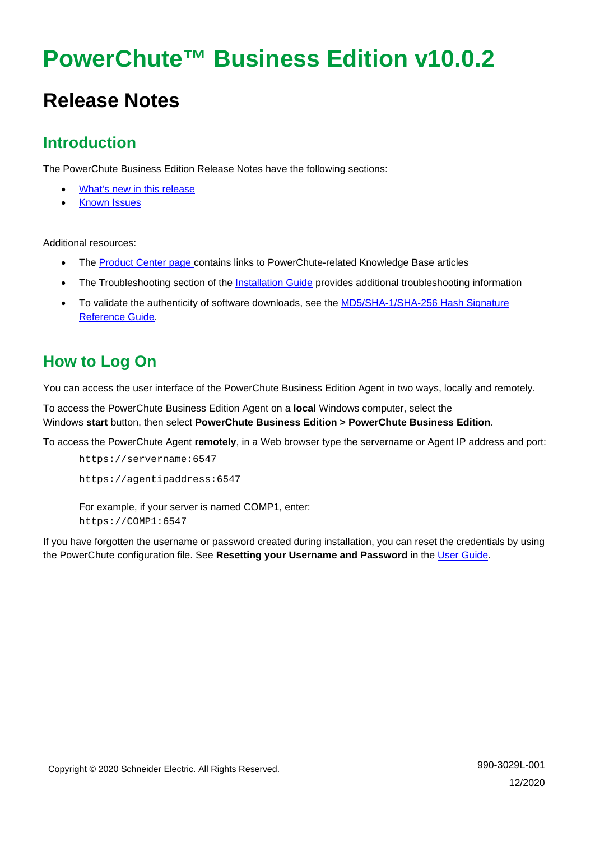# **PowerChute™ Business Edition v10.0.2**

## **Release Notes**

## **Introduction**

The PowerChute Business Edition Release Notes have the following sections:

- [What's new in this release](#page-0-0)
- [Known Issues](#page-1-0)

Additional resources:

- The [Product Center page c](https://www.apc.com/us/en/download/document/SPD_PCBE-ProductCenter_EN/)ontains links to PowerChute-related Knowledge Base articles
- The Troubleshooting section of the [Installation Guide](https://www.apc.com/us/en/download/document/SPD_PMAR-9BUL4B_EN/) provides additional troubleshooting information
- To validate the authenticity of software downloads, see the [MD5/SHA-1/SHA-256](https://www.apc.com/us/en/download/document/SPD_CCON-PCBEREF_EN/) Hash Signature [Reference Guide.](https://www.apc.com/us/en/download/document/SPD_CCON-PCBEREF_EN/)

## **How to Log On**

You can access the user interface of the PowerChute Business Edition Agent in two ways, locally and remotely.

To access the PowerChute Business Edition Agent on a **local** Windows computer, select the Windows **start** button, then select **PowerChute Business Edition > PowerChute Business Edition**.

To access the PowerChute Agent **remotely**, in a Web browser type the servername or Agent IP address and port:

```
https://servername:6547
https://agentipaddress:6547
For example, if your server is named COMP1, enter:
https://COMP1:6547
```
<span id="page-0-0"></span>If you have forgotten the username or password created during installation, you can reset the credentials by using the PowerChute configuration file. See **Resetting your Username and Password** in the [User Guide.](https://www.apc.com/us/en/download/document/SPD_PMAR-9BULAD_EN)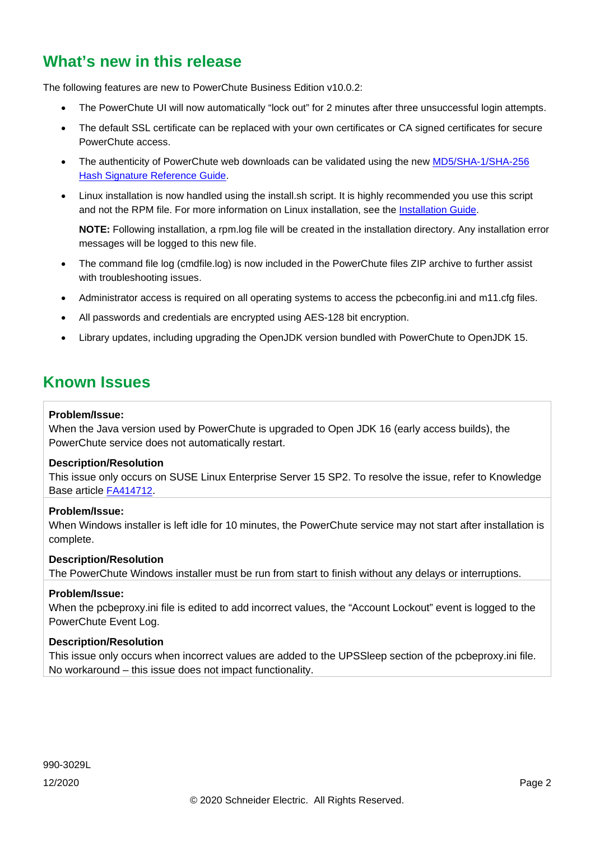## **What's new in this release**

The following features are new to PowerChute Business Edition v10.0.2:

- The PowerChute UI will now automatically "lock out" for 2 minutes after three unsuccessful login attempts.
- The default SSL certificate can be replaced with your own certificates or CA signed certificates for secure PowerChute access.
- The authenticity of PowerChute web downloads can be validated using the new MD5/SHA-1/SHA-256 [Hash Signature Reference Guide.](https://www.apc.com/us/en/download/document/SPD_CCON-PCBEREF_EN/)
- Linux installation is now handled using the install.sh script. It is highly recommended you use this script and not the RPM file. For more information on Linux installation, see the [Installation Guide.](https://www.apc.com/us/en/download/document/SPD_PMAR-9BUL4B_EN/)

**NOTE:** Following installation, a rpm.log file will be created in the installation directory. Any installation error messages will be logged to this new file.

- The command file log (cmdfile.log) is now included in the PowerChute files ZIP archive to further assist with troubleshooting issues.
- Administrator access is required on all operating systems to access the pcbeconfig.ini and m11.cfg files.
- All passwords and credentials are encrypted using AES-128 bit encryption.
- Library updates, including upgrading the OpenJDK version bundled with PowerChute to OpenJDK 15.

### <span id="page-1-0"></span>**Known Issues**

#### **Problem/Issue:**

When the Java version used by PowerChute is upgraded to Open JDK 16 (early access builds), the PowerChute service does not automatically restart.

#### **Description/Resolution**

This issue only occurs on SUSE Linux Enterprise Server 15 SP2. To resolve the issue, refer to Knowledge Base article [FA414712.](https://www.apc.com/us/en/faqs/FA414712/)

#### **Problem/Issue:**

When Windows installer is left idle for 10 minutes, the PowerChute service may not start after installation is complete.

#### **Description/Resolution**

The PowerChute Windows installer must be run from start to finish without any delays or interruptions.

#### **Problem/Issue:**

When the pcbeproxy.ini file is edited to add incorrect values, the "Account Lockout" event is logged to the PowerChute Event Log.

#### **Description/Resolution**

This issue only occurs when incorrect values are added to the UPSSleep section of the pcbeproxy.ini file. No workaround – this issue does not impact functionality.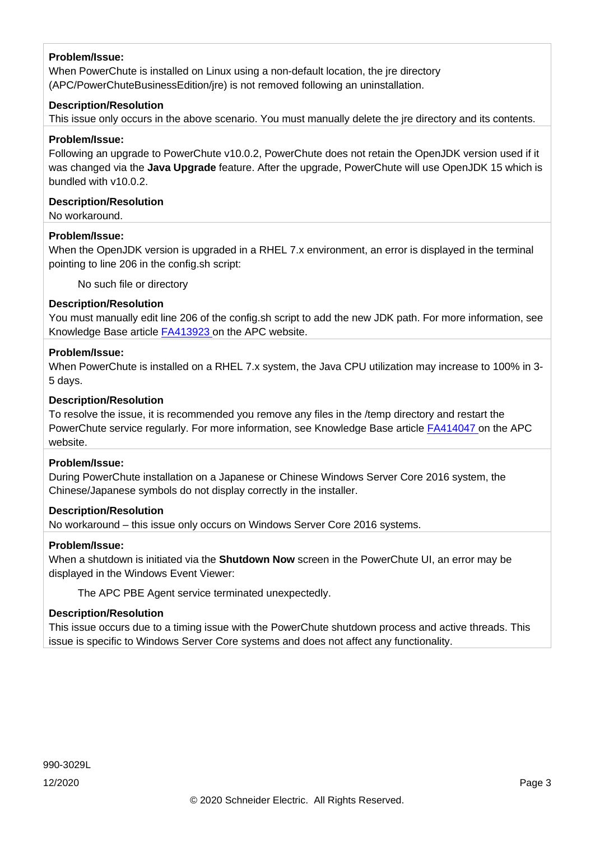When PowerChute is installed on Linux using a non-default location, the jre directory (APC/PowerChuteBusinessEdition/jre) is not removed following an uninstallation.

#### **Description/Resolution**

This issue only occurs in the above scenario. You must manually delete the jre directory and its contents.

#### **Problem/Issue:**

Following an upgrade to PowerChute v10.0.2, PowerChute does not retain the OpenJDK version used if it was changed via the **Java Upgrade** feature. After the upgrade, PowerChute will use OpenJDK 15 which is bundled with v10.0.2.

#### **Description/Resolution**

No workaround.

#### **Problem/Issue:**

When the OpenJDK version is upgraded in a RHEL 7.x environment, an error is displayed in the terminal pointing to line 206 in the config.sh script:

No such file or directory

#### **Description/Resolution**

You must manually edit line 206 of the config.sh script to add the new JDK path. For more information, see Knowledge Base article [FA413923 o](https://www.apc.com/us/en/faqs/FA413923/)n the APC website.

#### **Problem/Issue:**

When PowerChute is installed on a RHEL 7.x system, the Java CPU utilization may increase to 100% in 3- 5 days.

#### **Description/Resolution**

To resolve the issue, it is recommended you remove any files in the /temp directory and restart the PowerChute service regularly. For more information, see Knowledge Base article [FA414047 o](https://www.apc.com/jp/ja/faqs/FA414047/)n the APC website.

#### **Problem/Issue:**

During PowerChute installation on a Japanese or Chinese Windows Server Core 2016 system, the Chinese/Japanese symbols do not display correctly in the installer.

#### **Description/Resolution**

No workaround – this issue only occurs on Windows Server Core 2016 systems.

#### **Problem/Issue:**

When a shutdown is initiated via the **Shutdown Now** screen in the PowerChute UI, an error may be displayed in the Windows Event Viewer:

The APC PBE Agent service terminated unexpectedly.

#### **Description/Resolution**

This issue occurs due to a timing issue with the PowerChute shutdown process and active threads. This issue is specific to Windows Server Core systems and does not affect any functionality.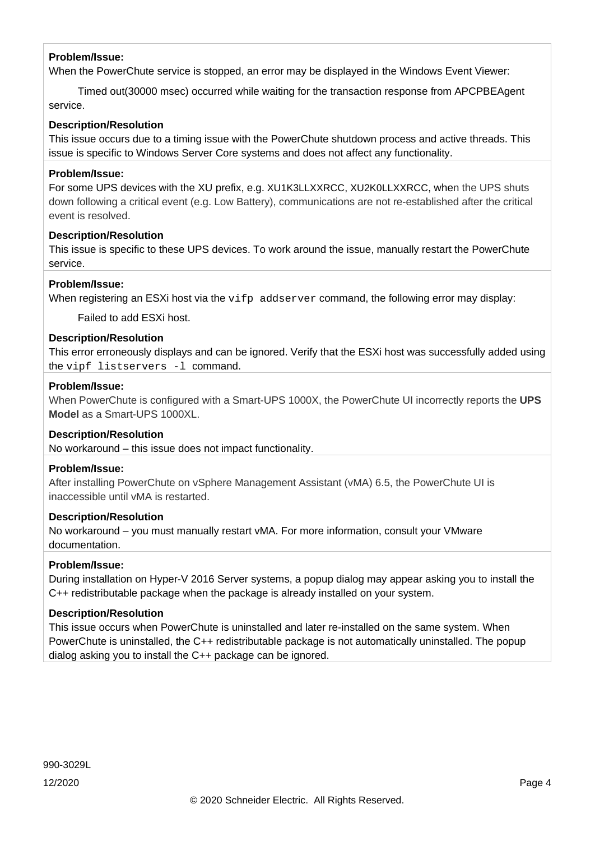When the PowerChute service is stopped, an error may be displayed in the Windows Event Viewer:

 Timed out(30000 msec) occurred while waiting for the transaction response from APCPBEAgent service.

#### **Description/Resolution**

This issue occurs due to a timing issue with the PowerChute shutdown process and active threads. This issue is specific to Windows Server Core systems and does not affect any functionality.

#### **Problem/Issue:**

For some UPS devices with the XU prefix, e.g. XU1K3LLXXRCC, XU2K0LLXXRCC, when the UPS shuts down following a critical event (e.g. Low Battery), communications are not re-established after the critical event is resolved.

#### **Description/Resolution**

This issue is specific to these UPS devices. To work around the issue, manually restart the PowerChute service.

#### **Problem/Issue:**

When registering an ESXi host via the vifp addserver command, the following error may display:

Failed to add ESXi host.

#### **Description/Resolution**

This error erroneously displays and can be ignored. Verify that the ESXi host was successfully added using the vipf listservers -l command.

#### **Problem/Issue:**

When PowerChute is configured with a Smart-UPS 1000X, the PowerChute UI incorrectly reports the **UPS Model** as a Smart-UPS 1000XL.

#### **Description/Resolution**

No workaround – this issue does not impact functionality.

#### **Problem/Issue:**

After installing PowerChute on vSphere Management Assistant (vMA) 6.5, the PowerChute UI is inaccessible until vMA is restarted.

#### **Description/Resolution**

No workaround – you must manually restart vMA. For more information, consult your VMware documentation.

#### **Problem/Issue:**

During installation on Hyper-V 2016 Server systems, a popup dialog may appear asking you to install the C++ redistributable package when the package is already installed on your system.

#### **Description/Resolution**

This issue occurs when PowerChute is uninstalled and later re-installed on the same system. When PowerChute is uninstalled, the C++ redistributable package is not automatically uninstalled. The popup dialog asking you to install the C++ package can be ignored.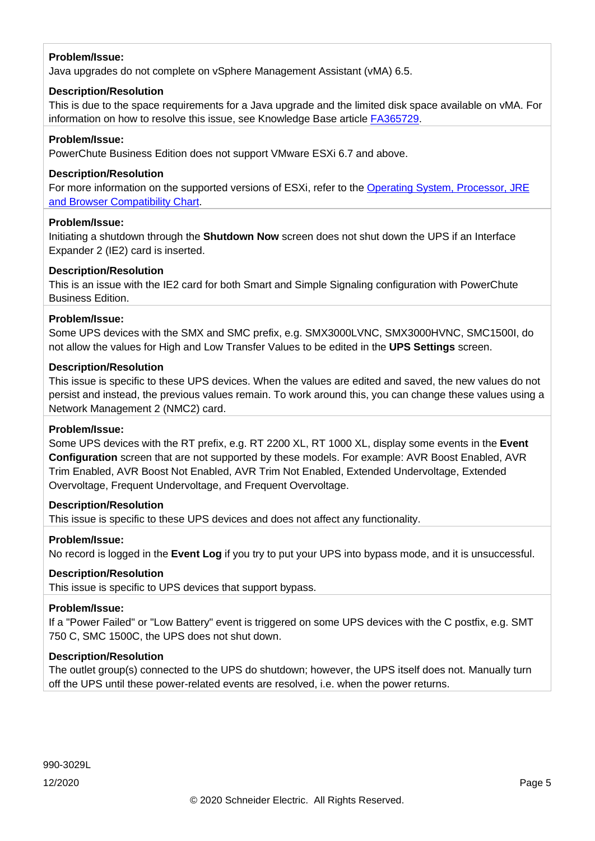Java upgrades do not complete on vSphere Management Assistant (vMA) 6.5.

#### **Description/Resolution**

This is due to the space requirements for a Java upgrade and the limited disk space available on vMA. For information on how to resolve this issue, see Knowledge Base article [FA365729.](https://www.apc.com/us/en/faqs/FA365729/)

#### **Problem/Issue:**

PowerChute Business Edition does not support VMware ESXi 6.7 and above.

#### **Description/Resolution**

For more information on the supported versions of ESXi, refer to the [Operating System, Processor, JRE](http://www.apc.com/wp/?um=100)  [and Browser Compatibility Chart.](http://www.apc.com/wp/?um=100)

#### **Problem/Issue:**

Initiating a shutdown through the **Shutdown Now** screen does not shut down the UPS if an Interface Expander 2 (IE2) card is inserted.

#### **Description/Resolution**

This is an issue with the IE2 card for both Smart and Simple Signaling configuration with PowerChute Business Edition.

#### **Problem/Issue:**

Some UPS devices with the SMX and SMC prefix, e.g. SMX3000LVNC, SMX3000HVNC, SMC1500I, do not allow the values for High and Low Transfer Values to be edited in the **UPS Settings** screen.

#### **Description/Resolution**

This issue is specific to these UPS devices. When the values are edited and saved, the new values do not persist and instead, the previous values remain. To work around this, you can change these values using a Network Management 2 (NMC2) card.

#### **Problem/Issue:**

Some UPS devices with the RT prefix, e.g. RT 2200 XL, RT 1000 XL, display some events in the **Event Configuration** screen that are not supported by these models. For example: AVR Boost Enabled, AVR Trim Enabled, AVR Boost Not Enabled, AVR Trim Not Enabled, Extended Undervoltage, Extended Overvoltage, Frequent Undervoltage, and Frequent Overvoltage.

#### **Description/Resolution**

This issue is specific to these UPS devices and does not affect any functionality.

#### **Problem/Issue:**

No record is logged in the **Event Log** if you try to put your UPS into bypass mode, and it is unsuccessful.

#### **Description/Resolution**

This issue is specific to UPS devices that support bypass.

#### **Problem/Issue:**

If a "Power Failed" or "Low Battery" event is triggered on some UPS devices with the C postfix, e.g. SMT 750 C, SMC 1500C, the UPS does not shut down.

#### **Description/Resolution**

The outlet group(s) connected to the UPS do shutdown; however, the UPS itself does not. Manually turn off the UPS until these power-related events are resolved, i.e. when the power returns.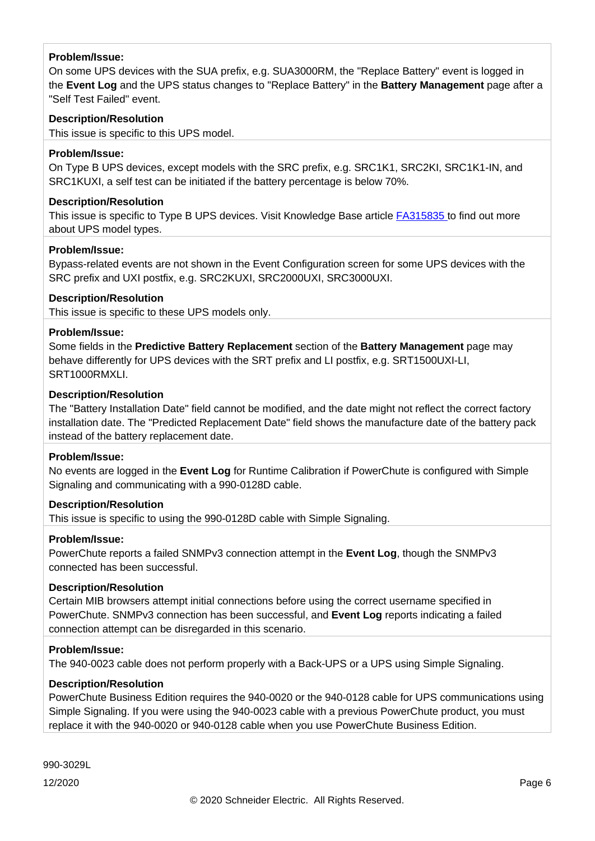On some UPS devices with the SUA prefix, e.g. SUA3000RM, the "Replace Battery" event is logged in the **Event Log** and the UPS status changes to "Replace Battery" in the **Battery Management** page after a "Self Test Failed" event.

#### **Description/Resolution**

This issue is specific to this UPS model.

#### **Problem/Issue:**

On Type B UPS devices, except models with the SRC prefix, e.g. SRC1K1, SRC2KI, SRC1K1-IN, and SRC1KUXI, a self test can be initiated if the battery percentage is below 70%.

#### **Description/Resolution**

This issue is specific to Type B UPS devices. Visit Knowledge Base article [FA315835](http://www.apc.com/us/en/faqs/FA315835/) to find out more about UPS model types.

#### **Problem/Issue:**

Bypass-related events are not shown in the Event Configuration screen for some UPS devices with the SRC prefix and UXI postfix, e.g. SRC2KUXI, SRC2000UXI, SRC3000UXI.

#### **Description/Resolution**

This issue is specific to these UPS models only.

#### **Problem/Issue:**

Some fields in the **Predictive Battery Replacement** section of the **Battery Management** page may behave differently for UPS devices with the SRT prefix and LI postfix, e.g. SRT1500UXI-LI, SRT1000RMXLI.

#### **Description/Resolution**

The "Battery Installation Date" field cannot be modified, and the date might not reflect the correct factory installation date. The "Predicted Replacement Date" field shows the manufacture date of the battery pack instead of the battery replacement date.

#### **Problem/Issue:**

No events are logged in the **Event Log** for Runtime Calibration if PowerChute is configured with Simple Signaling and communicating with a 990-0128D cable.

#### **Description/Resolution**

This issue is specific to using the 990-0128D cable with Simple Signaling.

#### **Problem/Issue:**

PowerChute reports a failed SNMPv3 connection attempt in the **Event Log**, though the SNMPv3 connected has been successful.

#### **Description/Resolution**

Certain MIB browsers attempt initial connections before using the correct username specified in PowerChute. SNMPv3 connection has been successful, and **Event Log** reports indicating a failed connection attempt can be disregarded in this scenario.

#### **Problem/Issue:**

The 940-0023 cable does not perform properly with a Back-UPS or a UPS using Simple Signaling.

#### **Description/Resolution**

PowerChute Business Edition requires the 940-0020 or the 940-0128 cable for UPS communications using Simple Signaling. If you were using the 940-0023 cable with a previous PowerChute product, you must replace it with the 940-0020 or 940-0128 cable when you use PowerChute Business Edition.

990-3029L

12/2020 Page 6